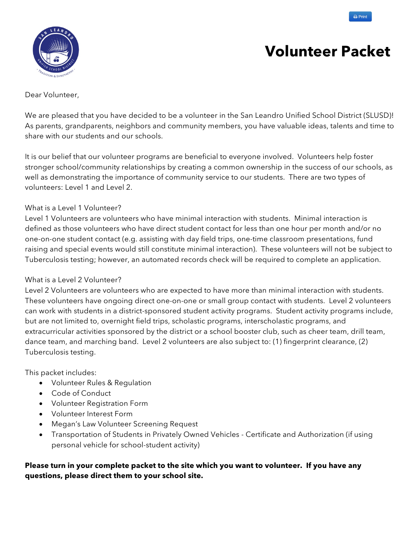



# **Volunteer Packet**

## Dear Volunteer,

We are pleased that you have decided to be a volunteer in the San Leandro Unified School District (SLUSD)! As parents, grandparents, neighbors and community members, you have valuable ideas, talents and time to share with our students and our schools.

It is our belief that our volunteer programs are beneficial to everyone involved. Volunteers help foster stronger school/community relationships by creating a common ownership in the success of our schools, as well as demonstrating the importance of community service to our students. There are two types of volunteers: Level 1 and Level 2.

## What is a Level 1 Volunteer?

Level 1 Volunteers are volunteers who have minimal interaction with students. Minimal interaction is defined as those volunteers who have direct student contact for less than one hour per month and/or no one-on-one student contact (e.g. assisting with day field trips, one-time classroom presentations, fund raising and special events would still constitute minimal interaction). These volunteers will not be subject to Tuberculosis testing; however, an automated records check will be required to complete an application.

## What is a Level 2 Volunteer?

Level 2 Volunteers are volunteers who are expected to have more than minimal interaction with students. These volunteers have ongoing direct one-on-one or small group contact with students. Level 2 volunteers can work with students in a district-sponsored student activity programs. Student activity programs include, but are not limited to, overnight field trips, scholastic programs, interscholastic programs, and extracurricular activities sponsored by the district or a school booster club, such as cheer team, drill team, dance team, and marching band. Level 2 volunteers are also subject to: (1) fingerprint clearance, (2) Tuberculosis testing.

This packet includes:

- Volunteer Rules & Regulation
- Code of Conduct
- Volunteer Registration Form
- Volunteer Interest Form
- Megan's Law Volunteer Screening Request
- Transportation of Students in Privately Owned Vehicles Certificate and Authorization (if using personal vehicle for school-student activity)

## **Please turn in your complete packet to the site which you want to volunteer. If you have any questions, please direct them to your school site.**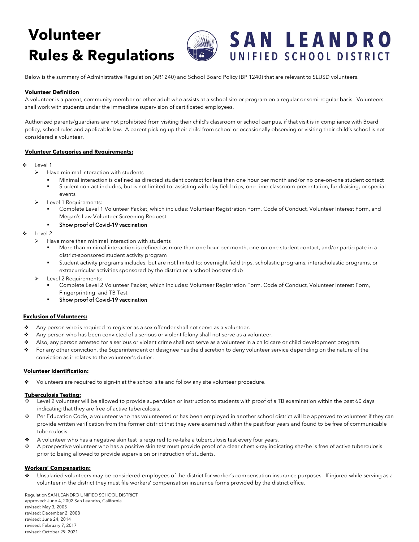# **Volunteer Rules & Regulations**



Below is the summary of Administrative Regulation (AR1240) and School Board Policy (BP 1240) that are relevant to SLUSD volunteers.

### **Volunteer Definition**

A volunteer is a parent, community member or other adult who assists at a school site or program on a regular or semi-regular basis. Volunteers shall work with students under the immediate supervision of certificated employees.

Authorized parents/guardians are not prohibited from visiting their child's classroom or school campus, if that visit is in compliance with Board policy, school rules and applicable law. A parent picking up their child from school or occasionally observing or visiting their child's school is not considered a volunteer.

### **Volunteer Categories and Requirements:**

### $\div$  Level 1

- $\blacktriangleright$  Have minimal interaction with students
	- § Minimal interaction is defined as directed student contact for less than one hour per month and/or no one-on-one student contact
	- § Student contact includes, but is not limited to: assisting with day field trips, one-time classroom presentation, fundraising, or special events
- Level 1 Requirements:
	- § Complete Level 1 Volunteer Packet, which includes: Volunteer Registration Form, Code of Conduct, Volunteer Interest Form, and Megan's Law Volunteer Screening Request

#### **•** Show proof of Covid-19 vaccination

- Level 2
	- $\triangleright$  Have more than minimal interaction with students
		- More than minimal interaction is defined as more than one hour per month, one-on-one student contact, and/or participate in a district-sponsored student activity program
		- § Student activity programs includes, but are not limited to: overnight field trips, scholastic programs, interscholastic programs, or extracurricular activities sponsored by the district or a school booster club
	- $\blacktriangleright$  Level 2 Requirements:
		- § Complete Level 2 Volunteer Packet, which includes: Volunteer Registration Form, Code of Conduct, Volunteer Interest Form, Fingerprinting, and TB Test
		- Show proof of Covid-19 vaccination

#### **Exclusion of Volunteers:**

- \* Any person who is required to register as a sex offender shall not serve as a volunteer.
- \* Any person who has been convicted of a serious or violent felony shall not serve as a volunteer.
- ◆ Also, any person arrested for a serious or violent crime shall not serve as a volunteer in a child care or child development program.
- \* For any other conviction, the Superintendent or designee has the discretion to deny volunteer service depending on the nature of the conviction as it relates to the volunteer's duties.

### **Volunteer Identification:**

\* Volunteers are required to sign-in at the school site and follow any site volunteer procedure.

#### **Tuberculosis Testing:**

- Level 2 volunteer will be allowed to provide supervision or instruction to students with proof of a TB examination within the past 60 days indicating that they are free of active tuberculosis.
- ◆ Per Education Code, a volunteer who has volunteered or has been employed in another school district will be approved to volunteer if they can provide written verification from the former district that they were examined within the past four years and found to be free of communicable tuberculosis.
- A volunteer who has a negative skin test is required to re-take a tuberculosis test every four years.
- v A prospective volunteer who has a positive skin test must provide proof of a clear chest x-ray indicating she/he is free of active tuberculosis prior to being allowed to provide supervision or instruction of students.

### **Workers' Compensation:**

Unsalaried volunteers may be considered employees of the district for worker's compensation insurance purposes. If injured while serving as a volunteer in the district they must file workers' compensation insurance forms provided by the district office.

Regulation SAN LEANDRO UNIFIED SCHOOL DISTRICT approved: June 4, 2002 San Leandro, California revised: May 3, 2005 revised: December 2, 2008 revised: June 24, 2014 revised: February 7, 2017 revised: October 29, 2021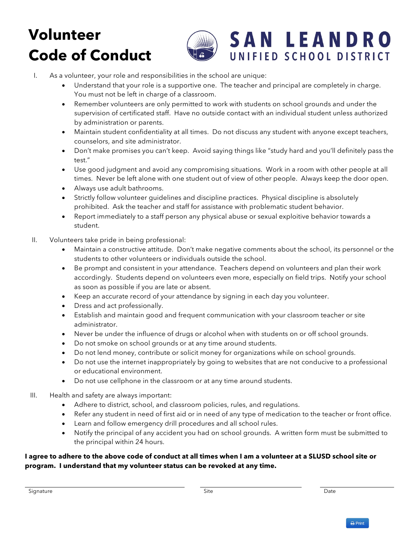# **Volunteer Code of Conduct**



# **SAN LEANDRO** UNIFIED SCHOOL DISTRICT

- I. As a volunteer, your role and responsibilities in the school are unique:
	- Understand that your role is a supportive one. The teacher and principal are completely in charge. You must not be left in charge of a classroom.
	- Remember volunteers are only permitted to work with students on school grounds and under the supervision of certificated staff. Have no outside contact with an individual student unless authorized by administration or parents.
	- Maintain student confidentiality at all times. Do not discuss any student with anyone except teachers, counselors, and site administrator.
	- Don't make promises you can't keep. Avoid saying things like "study hard and you'll definitely pass the test."
	- Use good judgment and avoid any compromising situations. Work in a room with other people at all times. Never be left alone with one student out of view of other people. Always keep the door open.
	- Always use adult bathrooms.
	- Strictly follow volunteer guidelines and discipline practices. Physical discipline is absolutely prohibited. Ask the teacher and staff for assistance with problematic student behavior.
	- Report immediately to a staff person any physical abuse or sexual exploitive behavior towards a student.
- II. Volunteers take pride in being professional:
	- Maintain a constructive attitude. Don't make negative comments about the school, its personnel or the students to other volunteers or individuals outside the school.
	- Be prompt and consistent in your attendance. Teachers depend on volunteers and plan their work accordingly. Students depend on volunteers even more, especially on field trips. Notify your school as soon as possible if you are late or absent.
	- Keep an accurate record of your attendance by signing in each day you volunteer.
	- Dress and act professionally.
	- Establish and maintain good and frequent communication with your classroom teacher or site administrator.
	- Never be under the influence of drugs or alcohol when with students on or off school grounds.
	- Do not smoke on school grounds or at any time around students.
	- Do not lend money, contribute or solicit money for organizations while on school grounds.
	- Do not use the internet inappropriately by going to websites that are not conducive to a professional or educational environment.
	- Do not use cellphone in the classroom or at any time around students.
- III. Health and safety are always important:
	- Adhere to district, school, and classroom policies, rules, and regulations.
	- Refer any student in need of first aid or in need of any type of medication to the teacher or front office.
	- Learn and follow emergency drill procedures and all school rules.
	- Notify the principal of any accident you had on school grounds. A written form must be submitted to the principal within 24 hours.

## **I agree to adhere to the above code of conduct at all times when I am a volunteer at a SLUSD school site or program. I understand that my volunteer status can be revoked at any time.**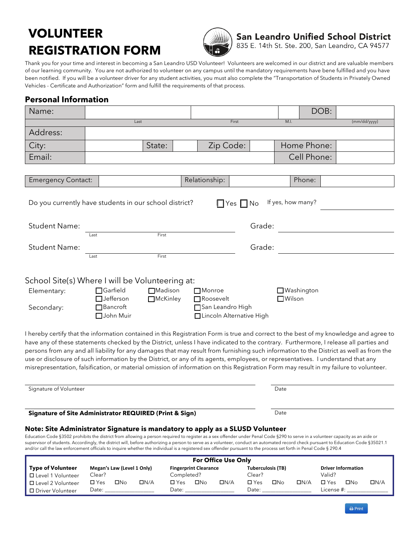# **VOLUNTEER REGISTRATION FORM**



San Leandro Unified School District 835 E. 14th St. Ste. 200, San Leandro, CA 94577

Thank you for your time and interest in becoming a San Leandro USD Volunteer! Volunteers are welcomed in our district and are valuable members of our learning community. You are not authorized to volunteer on any campus until the mandatory requirements have bene fulfilled and you have been notified. If you will be a volunteer driver for any student activities, you must also complete the "Transportation of Students in Privately Owned Vehicles - Certificate and Authorization" form and fulfill the requirements of that process.

## **Personal Information**

| Name:                                                                                                                                                                                                                                                                                                                                                                                                                                                                                                                                                                                                                                                                                                     |                                                                     |                                   |                                                                              |                      |        |                        | DOB:        |              |
|-----------------------------------------------------------------------------------------------------------------------------------------------------------------------------------------------------------------------------------------------------------------------------------------------------------------------------------------------------------------------------------------------------------------------------------------------------------------------------------------------------------------------------------------------------------------------------------------------------------------------------------------------------------------------------------------------------------|---------------------------------------------------------------------|-----------------------------------|------------------------------------------------------------------------------|----------------------|--------|------------------------|-------------|--------------|
|                                                                                                                                                                                                                                                                                                                                                                                                                                                                                                                                                                                                                                                                                                           |                                                                     | Last                              |                                                                              | First                |        | M.I.                   |             | (mm/dd/yyyy) |
| Address:                                                                                                                                                                                                                                                                                                                                                                                                                                                                                                                                                                                                                                                                                                  |                                                                     |                                   |                                                                              |                      |        |                        |             |              |
| City:                                                                                                                                                                                                                                                                                                                                                                                                                                                                                                                                                                                                                                                                                                     |                                                                     | State:                            | Zip Code:                                                                    |                      |        |                        | Home Phone: |              |
| Email:                                                                                                                                                                                                                                                                                                                                                                                                                                                                                                                                                                                                                                                                                                    |                                                                     |                                   |                                                                              |                      |        |                        | Cell Phone: |              |
|                                                                                                                                                                                                                                                                                                                                                                                                                                                                                                                                                                                                                                                                                                           |                                                                     |                                   |                                                                              |                      |        |                        |             |              |
| <b>Emergency Contact:</b>                                                                                                                                                                                                                                                                                                                                                                                                                                                                                                                                                                                                                                                                                 |                                                                     |                                   | Relationship:                                                                |                      |        |                        | Phone:      |              |
| Do you currently have students in our school district?                                                                                                                                                                                                                                                                                                                                                                                                                                                                                                                                                                                                                                                    |                                                                     |                                   |                                                                              | $\Box$ Yes $\Box$ No |        | If yes, how many?      |             |              |
| <b>Student Name:</b>                                                                                                                                                                                                                                                                                                                                                                                                                                                                                                                                                                                                                                                                                      |                                                                     |                                   |                                                                              |                      | Grade: |                        |             |              |
|                                                                                                                                                                                                                                                                                                                                                                                                                                                                                                                                                                                                                                                                                                           | Last                                                                | First                             |                                                                              |                      |        |                        |             |              |
| <b>Student Name:</b>                                                                                                                                                                                                                                                                                                                                                                                                                                                                                                                                                                                                                                                                                      |                                                                     |                                   |                                                                              |                      | Grade: |                        |             |              |
|                                                                                                                                                                                                                                                                                                                                                                                                                                                                                                                                                                                                                                                                                                           | Last                                                                | First                             |                                                                              |                      |        |                        |             |              |
| School Site(s) Where I will be Volunteering at:<br>Elementary:<br>Secondary:                                                                                                                                                                                                                                                                                                                                                                                                                                                                                                                                                                                                                              | $\Box$ Garfield<br><b>Jefferson</b><br>$\Box$ Bancroft<br>John Muir | <b>Madison</b><br><b>McKinley</b> | $\Box$ Monroe<br>Roosevelt<br>San Leandro High<br>□ Lincoln Alternative High |                      |        | □Washington<br>□Wilson |             |              |
| I hereby certify that the information contained in this Registration Form is true and correct to the best of my knowledge and agree to<br>have any of these statements checked by the District, unless I have indicated to the contrary. Furthermore, I release all parties and<br>persons from any and all liability for any damages that may result from furnishing such information to the District as well as from the<br>use or disclosure of such information by the District, or any of its agents, employees, or representatives. I understand that any<br>misrepresentation, falsification, or material omission of information on this Registration Form may result in my failure to volunteer. |                                                                     |                                   |                                                                              |                      |        |                        |             |              |
| Signature of Volunteer                                                                                                                                                                                                                                                                                                                                                                                                                                                                                                                                                                                                                                                                                    |                                                                     |                                   |                                                                              |                      |        | Date                   |             |              |
| Signature of Site Administrator REQUIRED (Print & Sign)                                                                                                                                                                                                                                                                                                                                                                                                                                                                                                                                                                                                                                                   |                                                                     |                                   |                                                                              |                      |        | Date                   |             |              |
| Note: Site Administrator Signature is mandatory to apply as a SLUSD Volunteer<br>Education Code §3502 prohibits the district from allowing a person required to register as a sex offender under Penal Code §290 to serve in a volunteer capacity as an aide or<br>supervisor of students. Accordingly, the district will, before authorizing a person to serve as a volunteer, conduct an automated record check pursuant to Education Code §35021.1<br>and/or call the law enforcement officials to inquire whether the individual is a registered sex offender pursuant to the process set forth in Penal Code § 290.4                                                                                 |                                                                     |                                   |                                                                              |                      |        |                        |             |              |
|                                                                                                                                                                                                                                                                                                                                                                                                                                                                                                                                                                                                                                                                                                           |                                                                     |                                   | <b>For Office Use Only</b>                                                   |                      |        |                        |             |              |

|                          |               |                            |            |            |                              | <b>For Office Use Only</b> |                   |     |            |            |                           |      |
|--------------------------|---------------|----------------------------|------------|------------|------------------------------|----------------------------|-------------------|-----|------------|------------|---------------------------|------|
| <b>Type of Volunteer</b> |               | Megan's Law (Level 1 Only) |            |            | <b>Fingerprint Clearance</b> |                            | Tuberculosis (TB) |     |            |            | <b>Driver Information</b> |      |
| □ Level 1 Volunteer      | Clear?        |                            |            | Completed? |                              |                            | Clear?            |     |            | Valid?     |                           |      |
| □ Level 2 Volunteer      | $\square$ Yes | ΠNο                        | $\Box N/A$ | י Yes      | ΠNο                          | DN/A                       | $\Box$ Yes        | ΠNο | $\Box N/A$ | □ Yes      | $\square$ No              | ΠN/A |
| □ Driver Volunteer       | Date:         |                            |            | Date:      |                              |                            | Date:             |     |            | License #: |                           |      |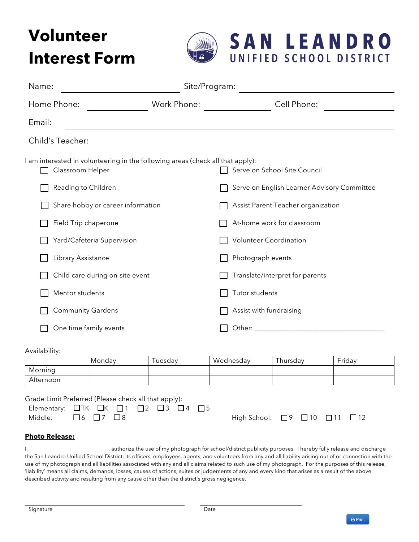# **Volunteer Interest Form**



| Name:                                                                                              | Site/Program:                                                 |                                             |
|----------------------------------------------------------------------------------------------------|---------------------------------------------------------------|---------------------------------------------|
| Home Phone:                                                                                        | Work Phone:                                                   | Cell Phone:                                 |
| Email:                                                                                             |                                                               |                                             |
| Child's Teacher:                                                                                   | <u> 1980 - Jan James Sand, Amerikaansk politiker († 1901)</u> |                                             |
| I am interested in volunteering in the following areas (check all that apply):<br>Classroom Helper |                                                               | Serve on School Site Council                |
| Reading to Children                                                                                |                                                               | Serve on English Learner Advisory Committee |
| Share hobby or career information                                                                  |                                                               | Assist Parent Teacher organization          |
| Field Trip chaperone                                                                               |                                                               | At-home work for classroom                  |
| Yard/Cafeteria Supervision                                                                         |                                                               | <b>Volunteer Coordination</b>               |
| Library Assistance                                                                                 |                                                               | Photograph events                           |
| Child care during on-site event                                                                    |                                                               | Translate/interpret for parents             |
| Mentor students                                                                                    |                                                               | Tutor students                              |
| <b>Community Gardens</b>                                                                           |                                                               | Assist with fundraising                     |
| One time family events                                                                             |                                                               |                                             |

### Availability:

|           | Monday | l uesdav | Wednesday | l hursday | Friday |
|-----------|--------|----------|-----------|-----------|--------|
| Morning   |        |          |           |           |        |
| Afternoon |        |          |           |           |        |

Grade Limit Preferred (Please check all that apply):  $F$ lementary:  $\Pi$ TK  $\Pi$ K  $\Pi$ 1  $\Pi$ 2  $\Pi$ 3  $\Pi$ 4  $\Pi$ 5

| Middle: $\Box$ 6 $\Box$ 7 $\Box$ 8 |  |  |  | High School: □9 □10 □11 □12 |  |  |
|------------------------------------|--|--|--|-----------------------------|--|--|

| $High School: \Box 9 \Box 10 \Box 11$ |  |  |
|---------------------------------------|--|--|

## **Photo Release:**

I, \_\_\_\_\_\_\_\_\_\_\_\_\_\_\_\_\_\_\_\_\_\_\_\_\_\_\_\_\_\_\_\_\_\_, authorize the use of my photograph for school/district publicity purposes. I hereby fully release and discharge the San Leandro Unified School District, its officers, employees, agents, and volunteers from any and all liability arising out of or connection with the use of my photograph and all liabilities associated with any and all claims related to such use of my photograph. For the purposes of this release, 'liability' means all claims, demands, losses, causes of actions, suites or judgements of any and every kind that arises as a result of the above described activity and resulting from any cause other than the district's gross negligence.

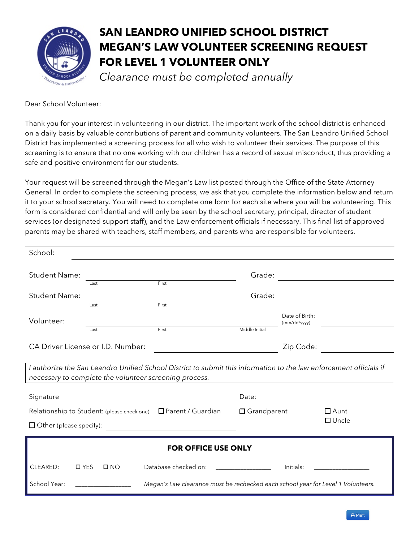

# **SAN LEANDRO UNIFIED SCHOOL DISTRICT MEGAN'S LAW VOLUNTEER SCREENING REQUEST FOR LEVEL 1 VOLUNTEER ONLY**

*Clearance must be completed annually*

Dear School Volunteer:

Thank you for your interest in volunteering in our district. The important work of the school district is enhanced on a daily basis by valuable contributions of parent and community volunteers. The San Leandro Unified School District has implemented a screening process for all who wish to volunteer their services. The purpose of this screening is to ensure that no one working with our children has a record of sexual misconduct, thus providing a safe and positive environment for our students.

Your request will be screened through the Megan's Law list posted through the Office of the State Attorney General. In order to complete the screening process, we ask that you complete the information below and return it to your school secretary. You will need to complete one form for each site where you will be volunteering. This form is considered confidential and will only be seen by the school secretary, principal, director of student services (or designated support staff), and the Law enforcement officials if necessary. This final list of approved parents may be shared with teachers, staff members, and parents who are responsible for volunteers.

| School:                           |               |              |                                                                                                                    |                    |                                |                 |
|-----------------------------------|---------------|--------------|--------------------------------------------------------------------------------------------------------------------|--------------------|--------------------------------|-----------------|
| <b>Student Name:</b>              | Last          |              | First                                                                                                              | Grade:             |                                |                 |
| <b>Student Name:</b>              |               |              |                                                                                                                    | Grade:             |                                |                 |
| Volunteer:                        | Last<br>Last  |              | First<br>First                                                                                                     | Middle Initial     | Date of Birth:<br>(mm/dd/yyyy) |                 |
| CA Driver License or I.D. Number: |               |              |                                                                                                                    |                    | Zip Code:                      |                 |
|                                   |               |              | I authorize the San Leandro Unified School District to submit this information to the law enforcement officials if |                    |                                |                 |
|                                   |               |              | necessary to complete the volunteer screening process.                                                             |                    |                                |                 |
| Signature                         |               |              |                                                                                                                    | Date:              |                                |                 |
|                                   |               |              | Relationship to Student: (please check one)<br>$\Box$ Parent / Guardian                                            | $\Box$ Grandparent |                                | $\Box$ Aunt     |
| $\Box$ Other (please specify):    |               |              |                                                                                                                    |                    |                                | $\square$ Uncle |
|                                   |               |              | <b>FOR OFFICE USE ONLY</b>                                                                                         |                    |                                |                 |
| CLEARED:                          | $\square$ YES | $\square$ NO | Database checked on:                                                                                               |                    | Initials:                      |                 |
| School Year:                      |               |              | Megan's Law clearance must be rechecked each school year for Level 1 Volunteers.                                   |                    |                                |                 |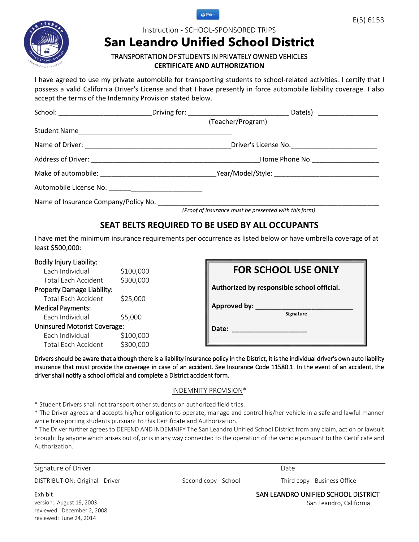



## Instruction - SCHOOL-SPONSORED TRIPS

# **San Leandro Unified School District**

## TRANSPORTATION OF STUDENTS IN PRIVATELY OWNED VEHICLES **CERTIFICATE AND AUTHORIZATION**

I have agreed to use my private automobile for transporting students to school-related activities. I certify that I possess a valid California Driver's License and that I have presently in force automobile liability coverage. I also accept the terms of the Indemnity Provision stated below.

|                                                        | (Teacher/Program)                                     |  |
|--------------------------------------------------------|-------------------------------------------------------|--|
| Student Name                                           |                                                       |  |
|                                                        |                                                       |  |
|                                                        | Home Phone No.                                        |  |
|                                                        |                                                       |  |
| Automobile License No. _______________________________ |                                                       |  |
| Name of Insurance Company/Policy No.                   |                                                       |  |
|                                                        | (Proof of insurance must be presented with this form) |  |

## **SEAT BELTS REQUIRED TO BE USED BY ALL OCCUPANTS**

I have met the minimum insurance requirements per occurrence as listed below or have umbrella coverage of at least \$500,000:

## Bodily Injury Liability:

Each Individual \$100,000 Total Each Accident \$300,000 Property Damage Liability: Total Each Accident \$25,000 Medical Payments: Each Individual \$5,000 Uninsured Motorist Coverage: Each Individual \$100,000 Total Each Accident \$300,000

|              | <b>FOR SCHOOL USE ONLY</b>                 |
|--------------|--------------------------------------------|
|              | Authorized by responsible school official. |
| Approved by: | Signature                                  |
| Date:        |                                            |

Drivers should be aware that although there is a liability insurance policy in the District, it is the individual driver's own auto liability insurance that must provide the coverage in case of an accident. See Insurance Code 11580.1. In the event of an accident, the driver shall notify a school official and complete a District accident form.

### INDEMNITY PROVISION\*

\* Student Drivers shall not transport other students on authorized field trips.

\* The Driver agrees and accepts his/her obligation to operate, manage and control his/her vehicle in a safe and lawful manner while transporting students pursuant to this Certificate and Authorization.

\* The Driver further agrees to DEFEND AND INDEMNIFY The San Leandro Unified School District from any claim, action or lawsuit brought by anyone which arises out of, or is in any way connected to the operation of the vehicle pursuant to this Certificate and Authorization.

Signature of Driver

DISTRIBUTION: Original - Driver

Date

Second copy - School Third copy - Business Office

Exhibit version: August 19, 2003 reviewed: December 2, 2008 reviewed: June 24, 2014

SAN LEANDRO UNIFIED SCHOOL DISTRICT

San Leandro, California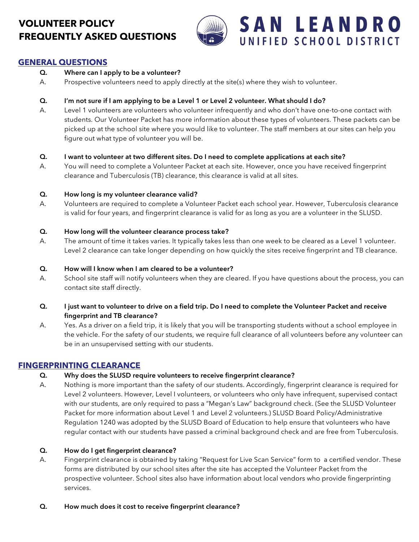## **VOLUNTEER POLICY FREQUENTLY ASKED QUESTIONS**



## **GENERAL QUESTIONS**

## **Q. Where can I apply to be a volunteer?**

A. Prospective volunteers need to apply directly at the site(s) where they wish to volunteer.

## **Q. I'm not sure if I am applying to be a Level 1 or Level 2 volunteer. What should I do?**

A. Level 1 volunteers are volunteers who volunteer infrequently and who don't have one-to-one contact with students. Our Volunteer Packet has more information about these types of volunteers. These packets can be picked up at the school site where you would like to volunteer. The staff members at our sites can help you figure out what type of volunteer you will be.

## **Q. I want to volunteer at two different sites. Do I need to complete applications at each site?**

A. You will need to complete a Volunteer Packet at each site. However, once you have received fingerprint clearance and Tuberculosis (TB) clearance, this clearance is valid at all sites.

## **Q. How long is my volunteer clearance valid?**

A. Volunteers are required to complete a Volunteer Packet each school year. However, Tuberculosis clearance is valid for four years, and fingerprint clearance is valid for as long as you are a volunteer in the SLUSD.

## **Q. How long will the volunteer clearance process take?**

A. The amount of time it takes varies. It typically takes less than one week to be cleared as a Level 1 volunteer. Level 2 clearance can take longer depending on how quickly the sites receive fingerprint and TB clearance.

## **Q. How will I know when I am cleared to be a volunteer?**

A. School site staff will notify volunteers when they are cleared. If you have questions about the process, you can contact site staff directly.

## **Q. I just want to volunteer to drive on a field trip. Do I need to complete the Volunteer Packet and receive fingerprint and TB clearance?**

A. Yes. As a driver on a field trip, it is likely that you will be transporting students without a school employee in the vehicle. For the safety of our students, we require full clearance of all volunteers before any volunteer can be in an unsupervised setting with our students.

## **FINGERPRINTING CLEARANCE**

## **Q. Why does the SLUSD require volunteers to receive fingerprint clearance?**

A. Nothing is more important than the safety of our students. Accordingly, fingerprint clearance is required for Level 2 volunteers. However, Level I volunteers, or volunteers who only have infrequent, supervised contact with our students, are only required to pass a "Megan's Law" background check. (See the SLUSD Volunteer Packet for more information about Level 1 and Level 2 volunteers.) SLUSD Board Policy/Administrative Regulation 1240 was adopted by the SLUSD Board of Education to help ensure that volunteers who have regular contact with our students have passed a criminal background check and are free from Tuberculosis.

## **Q. How do I get fingerprint clearance?**

A. Fingerprint clearance is obtained by taking "Request for Live Scan Service" form to a certified vendor. These forms are distributed by our school sites after the site has accepted the Volunteer Packet from the prospective volunteer. School sites also have information about local vendors who provide fingerprinting services.

## **Q. How much does it cost to receive fingerprint clearance?**